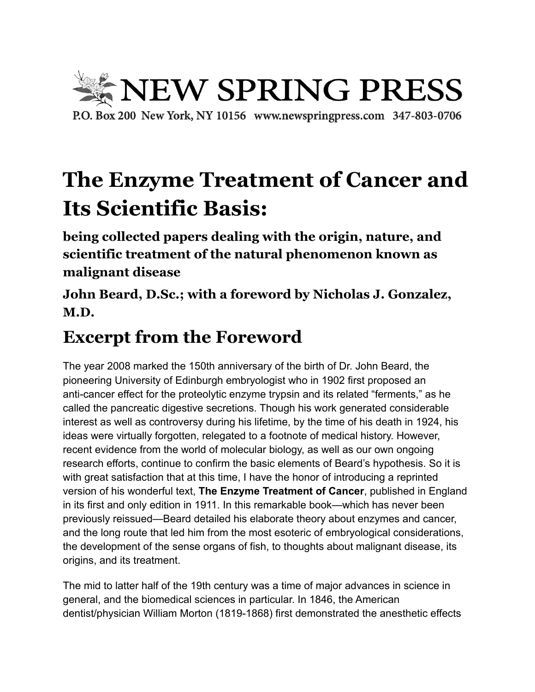

## **The Enzyme Treatment of Cancer and Its Scientific Basis:**

**being collected papers dealing with the origin, nature, and scientific treatment of the natural phenomenon known as malignant disease**

**John Beard, D.Sc.; with a foreword by Nicholas J. Gonzalez, M.D.**

## **Excerpt from the Foreword**

The year 2008 marked the 150th anniversary of the birth of Dr. John Beard, the pioneering University of Edinburgh embryologist who in 1902 first proposed an anti-cancer effect for the proteolytic enzyme trypsin and its related "ferments," as he called the pancreatic digestive secretions. Though his work generated considerable interest as well as controversy during his lifetime, by the time of his death in 1924, his ideas were virtually forgotten, relegated to a footnote of medical history. However, recent evidence from the world of molecular biology, as well as our own ongoing research efforts, continue to confirm the basic elements of Beard's hypothesis. So it is with great satisfaction that at this time, I have the honor of introducing a reprinted version of his wonderful text, **The Enzyme Treatment of Cancer**, published in England in its first and only edition in 1911. In this remarkable book—which has never been previously reissued—Beard detailed his elaborate theory about enzymes and cancer, and the long route that led him from the most esoteric of embryological considerations, the development of the sense organs of fish, to thoughts about malignant disease, its origins, and its treatment.

The mid to latter half of the 19th century was a time of major advances in science in general, and the biomedical sciences in particular. In 1846, the American dentist/physician William Morton (1819-1868) first demonstrated the anesthetic effects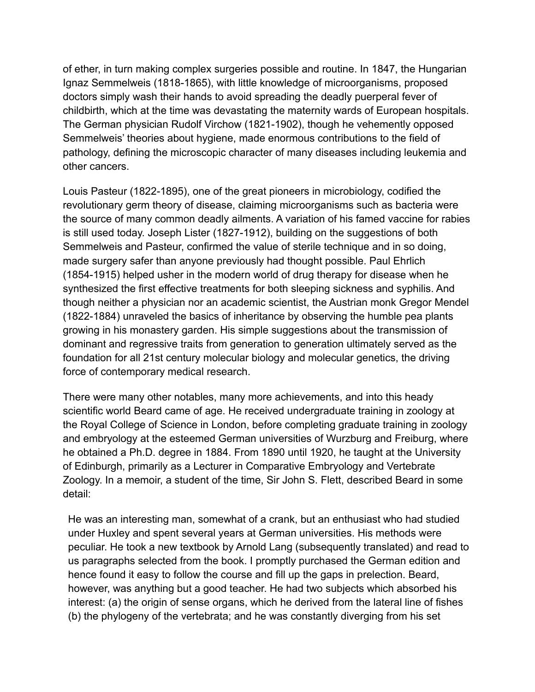of ether, in turn making complex surgeries possible and routine. In 1847, the Hungarian Ignaz Semmelweis (1818-1865), with little knowledge of microorganisms, proposed doctors simply wash their hands to avoid spreading the deadly puerperal fever of childbirth, which at the time was devastating the maternity wards of European hospitals. The German physician Rudolf Virchow (1821-1902), though he vehemently opposed Semmelweis' theories about hygiene, made enormous contributions to the field of pathology, defining the microscopic character of many diseases including leukemia and other cancers.

Louis Pasteur (1822-1895), one of the great pioneers in microbiology, codified the revolutionary germ theory of disease, claiming microorganisms such as bacteria were the source of many common deadly ailments. A variation of his famed vaccine for rabies is still used today. Joseph Lister (1827-1912), building on the suggestions of both Semmelweis and Pasteur, confirmed the value of sterile technique and in so doing, made surgery safer than anyone previously had thought possible. Paul Ehrlich (1854-1915) helped usher in the modern world of drug therapy for disease when he synthesized the first effective treatments for both sleeping sickness and syphilis. And though neither a physician nor an academic scientist, the Austrian monk Gregor Mendel (1822-1884) unraveled the basics of inheritance by observing the humble pea plants growing in his monastery garden. His simple suggestions about the transmission of dominant and regressive traits from generation to generation ultimately served as the foundation for all 21st century molecular biology and molecular genetics, the driving force of contemporary medical research.

There were many other notables, many more achievements, and into this heady scientific world Beard came of age. He received undergraduate training in zoology at the Royal College of Science in London, before completing graduate training in zoology and embryology at the esteemed German universities of Wurzburg and Freiburg, where he obtained a Ph.D. degree in 1884. From 1890 until 1920, he taught at the University of Edinburgh, primarily as a Lecturer in Comparative Embryology and Vertebrate Zoology. In a memoir, a student of the time, Sir John S. Flett, described Beard in some detail:

He was an interesting man, somewhat of a crank, but an enthusiast who had studied under Huxley and spent several years at German universities. His methods were peculiar. He took a new textbook by Arnold Lang (subsequently translated) and read to us paragraphs selected from the book. I promptly purchased the German edition and hence found it easy to follow the course and fill up the gaps in prelection. Beard, however, was anything but a good teacher. He had two subjects which absorbed his interest: (a) the origin of sense organs, which he derived from the lateral line of fishes (b) the phylogeny of the vertebrata; and he was constantly diverging from his set